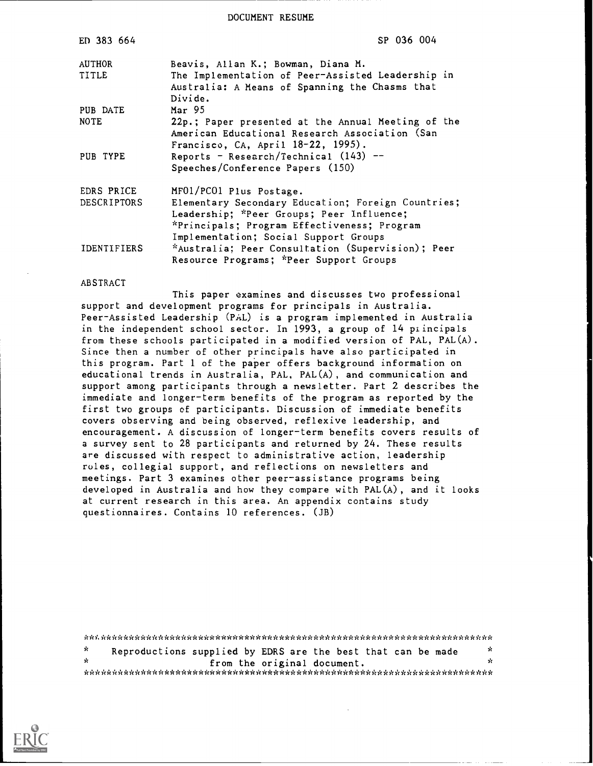DOCUMENT RESUME

| ED 383 664         | SP 036 004                                                                                                     |
|--------------------|----------------------------------------------------------------------------------------------------------------|
| AUTHOR             | Beavis, Allan K.; Bowman, Diana M.                                                                             |
| TITLE              | The Implementation of Peer-Assisted Leadership in<br>Australia: A Means of Spanning the Chasms that<br>Divide. |
| PUB DATE           | Mar 95                                                                                                         |
| <b>NOTE</b>        | 22p.; Paper presented at the Annual Meeting of the<br>American Educational Research Association (San           |
|                    | Francisco, CA, April 18-22, 1995).                                                                             |
| PUB TYPE           | Reports - Research/Technical $(143)$ --<br>Speeches/Conference Papers (150)                                    |
| EDRS PRICE         | MF01/PC01 Plus Postage.                                                                                        |
| DESCRIPTORS        | Elementary Secondary Education; Foreign Countries;                                                             |
|                    | Leadership; *Peer Groups; Peer Influence;                                                                      |
|                    | *Principals; Program Effectiveness; Program                                                                    |
|                    | Implementation; Social Support Groups                                                                          |
| <b>IDENTIFIERS</b> | *Australia; Peer Consultation (Supervision); Peer<br>Resource Programs; *Peer Support Groups                   |

#### ABSTRACT

This paper examines and discusses two professional support and development programs for principals in Australia. Peer-Assisted Leadership (PAL) is a program implemented in Australia in the independent school sector. In 1993, a group of 14 piincipals from these schools participated in a modified version of PAL, PAL(A). Since then a number of other principals have also participated in this program. Part 1 of the paper offers background information on educational trends in Australia, PAL, PAL(A), and communication and support among participants through a newsletter. Part 2 describes the immediate and longer-term benefits of the program as reported by the first two groups of participants. Discussion of immediate benefits covers observing and being observed, reflexive leadership, and encouragement. A discussion of longer-term benefits covers results of a survey sent to 28 participants and returned by 24. These results are discussed with respect to administrative action, leadership rules, collegial support, and reflections on newsletters and meetings. Part 3 examines other peer-assistance programs being developed in Australia and how they compare with PAL(A), and it looks at current research in this area. An appendix contains study questionnaires. Contains 10 references. (JB)

|      | Reproductions supplied by EDRS are the best that can be made |  |                             |  | Ń.  |
|------|--------------------------------------------------------------|--|-----------------------------|--|-----|
| - sk |                                                              |  | from the original document. |  | Уć. |
|      |                                                              |  |                             |  |     |

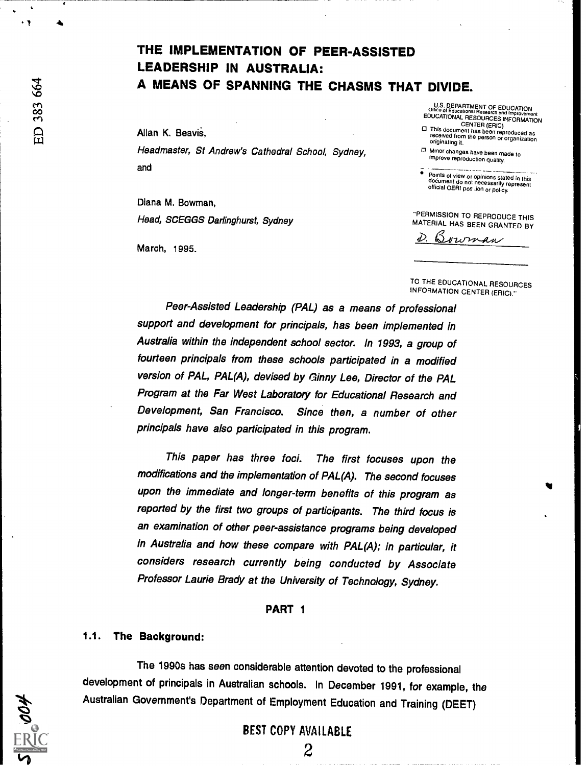Allan K. Beavis,<br>
Headmaster, St Andrew's Cathedral School, Sydney,<br>
Headmaster, St Andrew's Cathedral School, Sydney, Democrating it. Headmaster, St Andrew's Cathedral School, Sydney, and

Diana M. Bowman, Head, SCEGGS Darlinghurst, Sydney

March, 1995.

U.S. DEPARTMENT OF EDUCATION<br>EDUCATIONAL RESOURCES INFORMATION<br>EDUCATIONAL RESOURCES INFORMATION<br>CENTER (ERIC)<br>CENTER (ERIC)

improve reproduction quality.

÷ Points of view or opinions stated in this dodument do not necessarily represent<br>document do not necessarily represent<br>official OERI pos. .ion or policy.

"PERMISSION TO REPRODUCE THIS MATERIAL HAS BEEN GRANTED BY

 $_{\&$   $\psi$ 

TO THE EDUCATIONAL RESOURCES INFORMATION CENTER (ERIC)."

Peer-Assisted Leadership (PAL) as a means of professional support and development for principals, has been implemented in Australia within the independent school sector. In 1993, a group of fourteen principals from these schools participated in a modified version of PAL, PAL(A), devised by finny Lee, Director of the PAL Program at the Far West Laboratory for Educational Research and Development, San Francisco. Since then, a number of other principals have also participated in this program.

This paper has three foci. The first focuses upon the modifications and the implementation of PAL(A). The second focuses upon the immediate and longer-term benefits of this program as reported by the first two groups of participants. The third focus is an examination of other peer-assistance programs being developed in Australia and how these compare with PAL(A); in particular, it considers research currently being conducted by Associate Professor Laurie Brady at the University of Technology, Sydney.

### PART 1

### 1.1. The Background:

The 1990s has seen considerable attention devoted to the professional development of principals in Australian schools. In December 1991, for example, the Australian Government's Department of Employment Education and Training (DEET)

# BEST COPY AVAILABLE

 $\tilde{\phantom{a}}$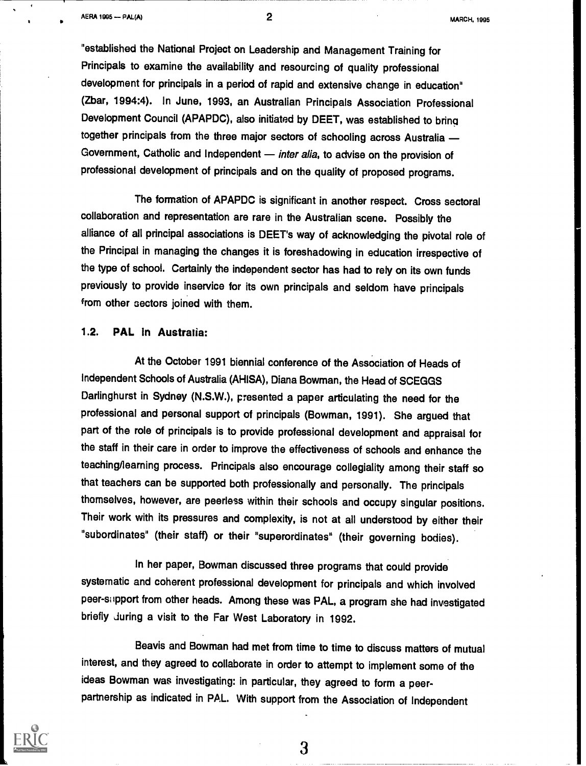"established the National Project on Leadership and Management Training for Principals to examine the availability and resourcing of quality professional development for principals in a period of rapid and extensive change in education" (Zbar, 1994:4). In June, 1993, an Australian Principals Association Professional Development Council (APAPDC), also initiated by DEET, was established to bring together principals from the three major sectors of schooling across Australia Government, Catholic and Independent - inter alia, to advise on the provision of professional development of principals and on the quality of proposed programs.

The formation of APAPDC is significant in another respect. Cross sectoral collaboration and representation are rare in the Australian scene. Possibly the alliance of all principal associations is DEET's way of acknowledging the pivotal role of the Principal in managing the changes it is foreshadowing in education irrespective of the type of school. Certainly the independent sector has had to rely on its own funds previously to provide inservice for its own principals and seldom have principals from other sectors joined with them.

# 1.2. PAL in Australia:

At the October 1991 biennial conference of the Association of Heads of Independent Schools of Australia (AHISA), Diana Bowman, the Head of SCEGGS Darlinghurst in Sydney (N.S.W.), presented a paper articulating the need for the professional and personal support of principals (Bowman, 1991). She argued that part of the role of principals is to provide professional development and appraisal for the staff in their care in order to improve the effectiveness of schools and enhance the teaching/learning process. Principals also encourage collegiality among their staff so that teachers can be supported both professionally and personally. The principals thomselves, however, are peerless within their schools and occupy singular positions. Their work with its pressures and complexity, is not at all understood by either their "subordinates" (their staff) or their "superordinates" (their governing bodies).

In her paper, Bowman discussed three programs that could provide systematic and coherent professional development for principals and which involved peer -si ipport from other heads. Among these was PAL, a program she had investigated briefly during a visit to the Far West Laboratory in 1992.

Beavis and Bowman had met from time to time to discuss matters of mutual interest, and they agreed to collaborate in order to attempt to implement some of the ideas Bowman was investigating: in particular, they agreed to form a peerpartnership as indicated in PAL. With support from the Association of Independent

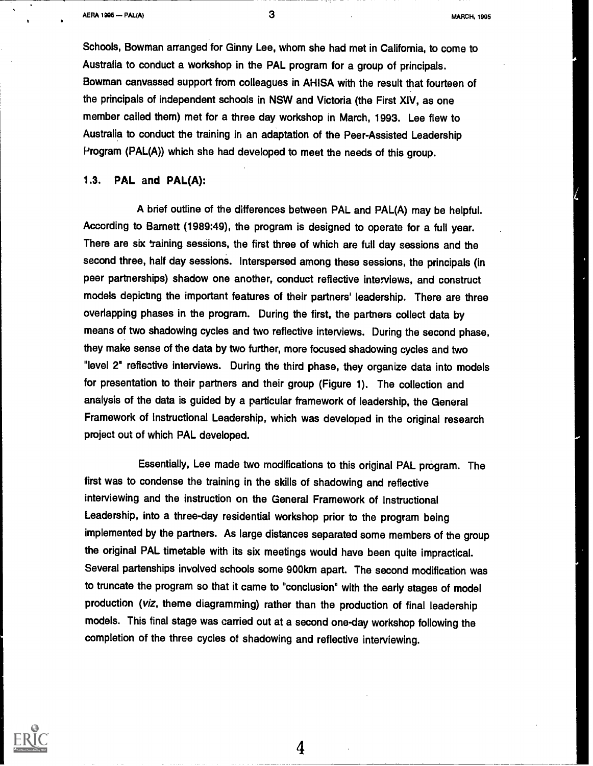Schools, Bowman arranged for Ginny Lee, whom she had met in California, to come to Australia to conduct a workshop in the PAL program for a group of principals. Bowman canvassed support from colleagues in AHISA with the result that fourteen of the principals of independent schools in NSW and Victoria (the First XIV, as one member called them) met for a three day workshop in March, 1993. Lee flew to Australia to conduct the training in an adaptation of the Peer-Assisted Leadership Program (PAL(A)) which she had developed to meet the needs of this group.

1.3. PAL and PAL(A):

A brief outline of the differences between PAL and PAL(A) may be helpful. According to Barnett (1989:49), the program is designed to operate for a full year. There are six taining sessions, the first three of which are full day sessions and the second three, half day sessions. Interspersed among these sessions, the principals (in peer partnerships) shadow one another, conduct reflective interviews, and construct models depicting the important features of their partners' leadership. There are three overlapping phases in the program. During the first, the partners collect data by means of two shadowing cycles and two reflective interviews. During the second phase, they make sense of the data by two further, more focused shadowing cycles and two "level 2° reflective interviews. During the third phase, they organize data into models for presentation to their partners and their group (Figure 1). The collection and analysis of the data is guided by a particular framework of leadership, the General Framework of Instructional Leadership, which was developed in the original research project out of which PAL developed.

Essentially, Lee made two modifications to this original PAL program. The first was to condense the training in the skills of shadowing and reflective interviewing and the instruction on the General Framework of Instructional Leadership, into a three-day residential workshop prior to the program being implemented by the partners. As large distances separated some members of the group the original PAL timetable with its six meetings would have been quite impractical. Several partenships involved schools some 900km apart. The second modification was to truncate the program so that it came to "conclusion" with the early stages of model production (viz, theme diagramming) rather than the production of final leadership models. This final stage was carried out at a second one-day workshop following the completion of the three cycles of shadowing and reflective interviewing.

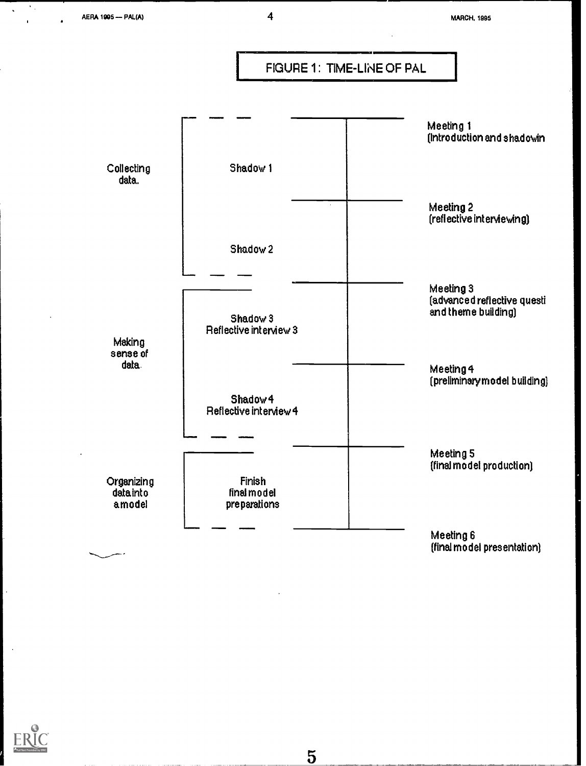$\mathcal{C}_{\mathcal{A}}$ 





 $\overline{5}$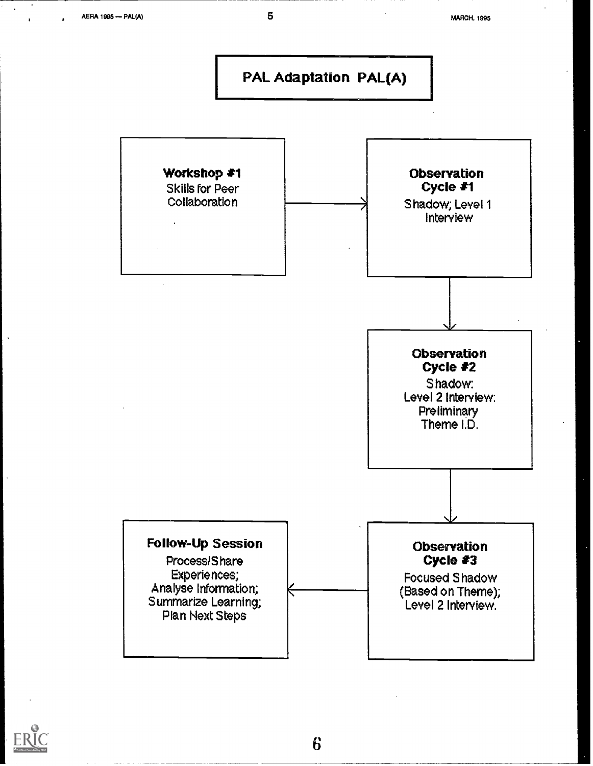

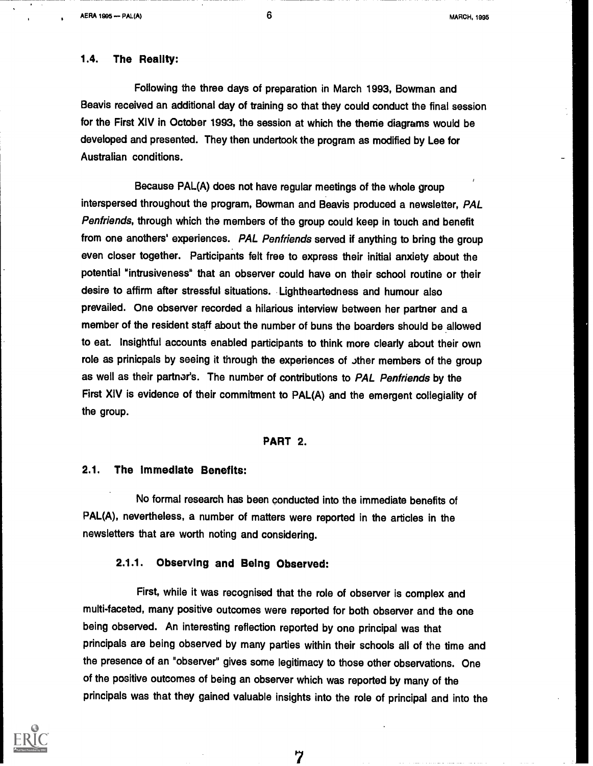**AERA 1905 -- PAL(A)** 

6 MARCH, 1995

### 1.4. The Reality:

Following the three days of preparation in March 1993, Bowman and Beavis received an additional day of training so that they could conduct the final session for the First XIV in October 1993, the session at which the theme diagrams would be developed and presented. They then undertook the program as modified by Lee for Australian conditions.

Because PAL(A) does not have regular meetings of the whole group interspersed throughout the program, Bowman and Beavis produced a newsletter, PAL Penfriends, through which the members of the group could keep in touch and benefit from one anothers' experiences. PAL Penfriends served if anything to bring the group even closer together. Participants felt free to express their initial anxiety about the potential "intrusiveness" that an observer could have on their school routine or their desire to affirm after stressful situations. Lightheartedness and humour also prevailed. One observer recorded a hilarious interview between her partner and a member of the resident staff about the number of buns the boarders should be allowed to eat. Insightful accounts enabled participants to think more clearly about their own role as prinicpals by seeing it through the experiences of other members of the group as well as their partner's. The number of contributions to PAL Penfriends by the First XIV is evidence of their commitment to PAL(A) and the emergent collegiality of the group.

### PART 2.

### 2.1. The Immediate Benefits:

No formal research has been conducted into the immediate benefits of PAL(A), nevertheless, a number of matters were reported in the articles in the newsletters that are worth noting and considering.

# 2.1.1. Observing and Being Observed:

First, while it was recognised that the role of observer is complex and multi-faceted, many positive outcomes were reported for both observer and the one being observed. An interesting reflection reported by one principal was that principals are being observed by many parties within their schools all of the time and the presence of an "observer" gives some legitimacy to those other observations. One of the positive outcomes of being an observer which was reported by many of the principals was that they gained valuable insights into the role of principal and into the

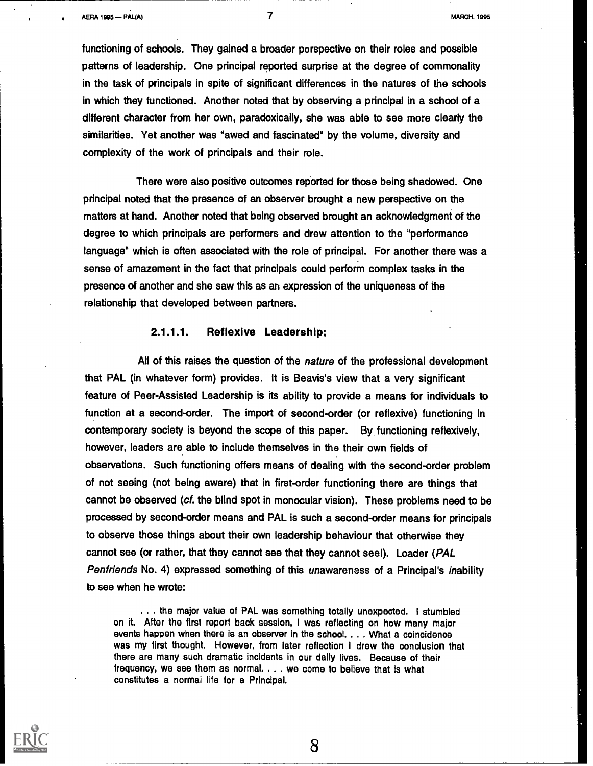functioning of schools. They gained a broader perspective on their roles and possible patterns of leadership. One principal reported surprise at the degree of commonality in the task of principals in spite of significant differences in the natures of the schools in which they functioned. Another noted that by observing a principal in a school of a different character from her own, paradoxically, she was able to see more clearly the similarities. Yet another was "awed and fascinated" by the volume, diversity and complexity of the work of principals and their role.

There were also positive outcomes reported for those being shadowed. One principal noted that the presence of an observer brought a new perspective on the matters at hand. Another noted that being observed brought an acknowledgment of the degree to which principals are performers and drew attention to the "performance language' which is often associated with the role of principal. For another there was a sense of amazement in the fact that principals could perform complex tasks in the presence of another and she saw this as an expression of the uniqueness of the relationship that developed between partners.

### 2.1.1.1. Reflexive Leadership;

All of this raises the question of the nature of the professional development that PAL (in whatever form) provides. It is Beavis's view that a very significant feature of Peer-Assisted Leadership is its ability to provide a means for individuals to function at a second-order. The import of second-order (or reflexive) functioning in contemporary society is beyond the scope of this paper. By functioning reflexively, however, leaders are able to include themselves in the their own fields of observations. Such functioning offers means of dealing with the second-order problem of not seeing (not being aware) that in first-order functioning there are things that cannot be observed (cf. the blind spot in monocular vision). These problems need to be processed by second-order means and PAL is such a second-order means for principals to observe those things about their own leadership behaviour that otherwise they cannot see (or rather, that they cannot see that they cannot seel). Loader (PAL Penfriends No. 4) expressed something of this unawareness of a Principal's inability to see when he wrote:

. . . the major value of PAL was something totally unexpected. I stumbled on it. After the first report back session, I was reflecting on how many major events happen when there is an observer in the school. . .. What a coincidence was my first thought. However, from later reflection I drew the conclusion that there are many such dramatic incidents in our daily lives. Because of their frequency, we see them as normal. . . . we come to believe that is what constitutes a normal life for a Principal.

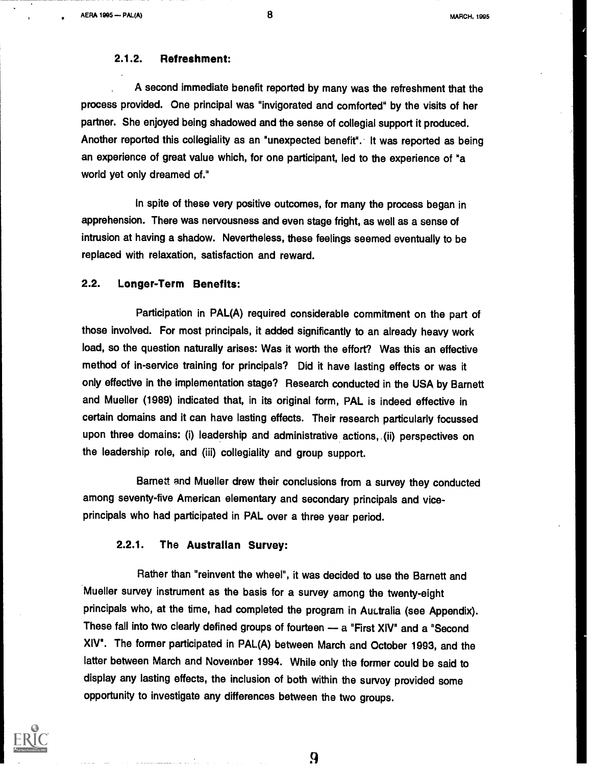### 2.1.2. Refreshment:

A second immediate benefit reported by many was the refreshment that the process provided. One principal was "invigorated and comforted" by the visits of her partner. She enjoyed being shadowed and the sense of collegial support it produced. Another reported this collegiality as an "unexpected benefit". It was reported as being an experience of great value which, for one participant, led to the experience of "a world yet only dreamed of."

In spite of these very positive outcomes, for many the process began in apprehension. There was nervousness and even stage fright, as well as a sense of intrusion at having a shadow. Nevertheless, these feelings seemed eventually to be replaced with relaxation, satisfaction and reward.

# 2.2. Longer-Term Benefits:

Participation in PAL(A) required considerable commitment on the part of those involved. For most principals, it added significantly to an already heavy work load, so the question naturally arises: Was it worth the effort? Was this an effective method of in-service training for principals? Did it have lasting effects or was it only effective in the implementation stage? Research conducted in the USA by Barnett and Mueller (1989) indicated that, in its original form, PAL is indeed effective in certain domains and it can have lasting effects. Their research particularly focussed upon three domains: (i) leadership and administrative actions,.(ii) perspectives on the leadership role, and (iii) collegiality and group support.

Barnett and Mueller drew their conclusions from a survey they conducted among seventy-five American elementary and secondary principals and viceprincipals who had participated in PAL over a three year period.

### 2.2.1. The Australian Survey:

Rather than "reinvent the wheel", it was decided to use the Barnett and Mueller survey instrument as the basis for a survey among the twenty-eight principals who, at the time, had completed the program in AuLtralia (see Appendix). These fall into two clearly defined groups of fourteen - a "First XIV" and a "Second XIV". The former participated in PAL(A) between March and October 1993, and the latter between March and November 1994. While only the former could be said to display any lasting effects, the inclusion of both within the survey provided some opportunity to investigate any differences between the two groups.

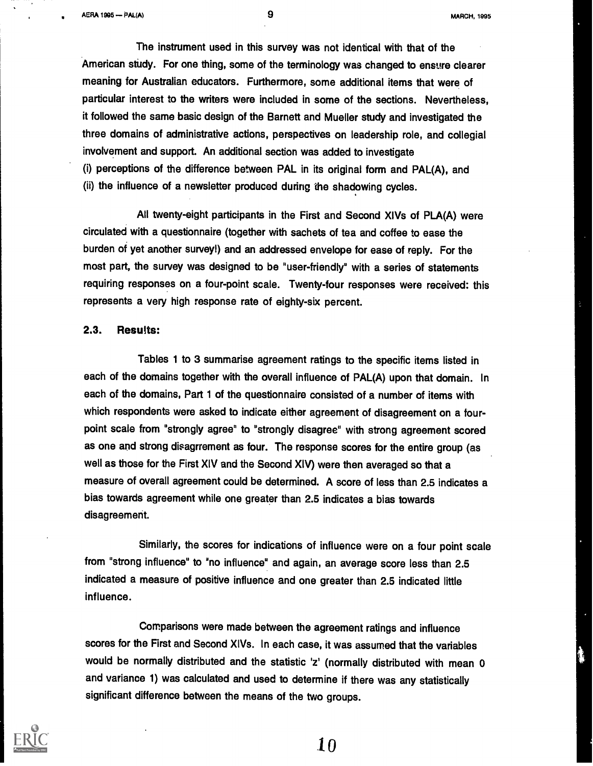AERA 1905 -13AMA) 9 MARCH, 1095

The instrument used in this survey was not identical with that of the American study. For one thing, some of the terminology was changed to ensure clearer meaning for Australian educators. Furthermore, some additional items that were of particular interest to the writers were included in some of the sections. Nevertheless, it followed the same basic design of the Barnett and Mueller study and investigated the three domains of administrative actions, perspectives on leadership role, and collegial involvement and support. An additional section was added to investigate (i) perceptions of the difference between PAL in its original form and PAL(A), and (ii) the influence of a newsletter produced during the shadowing cycles.

All twenty-eight participants in the First and Second XIVs of PLA(A) were circulated with a questionnaire (together with sachets of tea and coffee to ease the burden of yet another survey!) and an addressed envelope for ease of reply. For the most part, the survey was designed to be "user-friendly" with a series of statements requiring responses on a four-point scale. Twenty-four responses were received: this represents a very high response rate of eighty-six percent.

### 2.3. Results:

Tables 1 to 3 summarise agreement ratings to the specific items listed in each of the domains together with the overall influence of PAL(A) upon that domain. In each of the domains, Part 1 of the questionnaire consisted of a number of items with which respondents were asked to indicate either agreement of disagreement on a fourpoint scale from "strongly agree" to "strongly disagree" with strong agreement scored as one and strong disagrrement as four. The response scores for the entire group (as well as those for the First XIV and the Second XIV) were then averaged so that a measure of overall agreement could be determined. A score of less than 2.5 indicates a bias towards agreement while one greater than 2.5 indicates a bias towards disagreement.

Similarly, the scores for indications of influence were on a four point scale from "strong influence" to "no influence" and again, an average score less than 2.5 indicated a measure of positive influence and one greater than 2.5 indicated little influence.

Comparisons were made between the agreement ratings and influence scores for the First and Second XIVs. In each case, it was assumed that the variables would be normally distributed and the statistic 'z' (normally distributed with mean 0 and variance 1) was calculated and used to determine if there was any statistically significant difference between the means of the two groups.

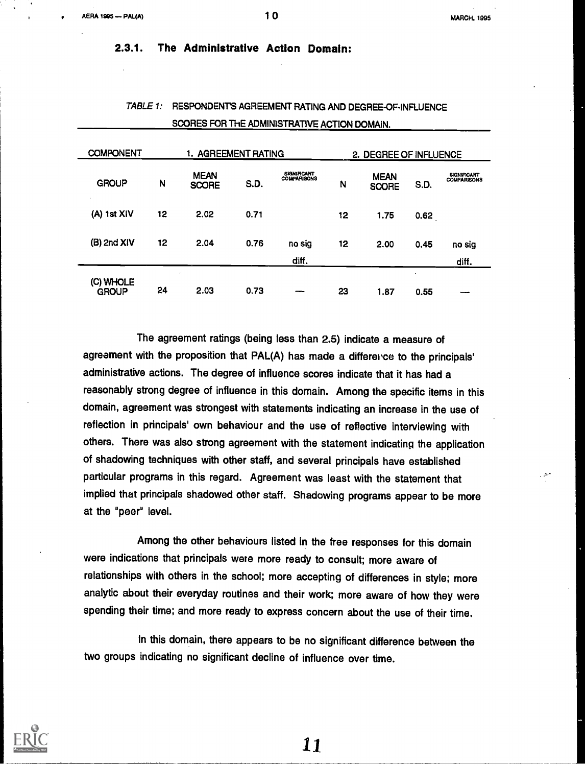MARCH, 1995

2.3.1. The Administrative Action Domain:

| <b>COMPONENT</b>          |    | 1. AGREEMENT RATING         |      |                                          |    | 2. DEGREE OF INFLUENCE      |                   |                                          |  |
|---------------------------|----|-----------------------------|------|------------------------------------------|----|-----------------------------|-------------------|------------------------------------------|--|
| <b>GROUP</b><br>$\sim$    | N  | <b>MEAN</b><br><b>SCORE</b> | S.D. | <b>SIGNIFICANT</b><br><b>COMPARISONS</b> | N  | <b>MEAN</b><br><b>SCORE</b> | S.D.              | <b>SIGNIFICANT</b><br><b>COMPARISONS</b> |  |
| $(A)$ 1st $XIV$           | 12 | 2.02                        | 0.71 |                                          | 12 | 1.75                        | 0.62              |                                          |  |
| (B) 2nd XIV               | 12 | 2.04                        | 0.76 | no sig<br>diff.                          | 12 | 2.00                        | 0.45              | no sig<br>diff.                          |  |
| (C) WHOLE<br><b>GROUP</b> | 24 | $\mathbf{r}$<br>2.03        | 0.73 | --                                       | 23 | 1.87                        | $\bullet$<br>0.55 |                                          |  |

# TABLE 1: RESPONDENTS AGREEMENT RATING AND DEGREE-OF-INFLUENCE SCORES FOR THE ADMINISTRATIVE ACTION DOMAIN.

The agreement ratings (being less than 2.5) indicate a measure of agreement with the proposition that PAL(A) has made a difference to the principals' administrative actions. The degree of influence scores indicate that it has had a reasonably strong degree of influence in this domain. Among the specific items in this domain, agreement was strongest with statements indicating an increase in the use of reflection in principals' own behaviour and the use of reflective interviewing with others. There was also strong agreement with the statement indicating the application of shadowing techniques with other staff, and several principals have established particular programs in this regard. Agreement was least with the statement that implied that principals shadowed other staff. Shadowing programs appear to be more at the "peer' level.

Among the other behaviours listed in the free responses for this domain were indications that principals were more ready to consult; more aware of relationships with others in the school; more accepting of differences in style; more analytic about their everyday routines and their work; more aware of how they were spending their time; and more ready to express concern about the use of their time.

in this domain, there appears to be no significant difference between the two groups indicating no significant decline of influence over time.

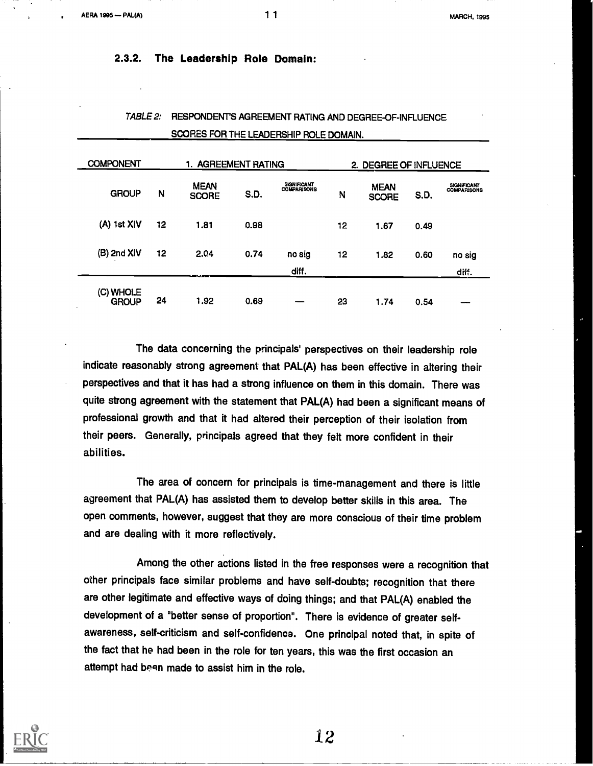### 2.3.2. The Leadership Role Domain:

| <b>COMPONENT</b><br>1. AGREEMENT RATING |    |                             |      | 2. DEGREE OF INFLUENCE                   |    |                             |      |                                          |
|-----------------------------------------|----|-----------------------------|------|------------------------------------------|----|-----------------------------|------|------------------------------------------|
| <b>GROUP</b>                            | N  | <b>MEAN</b><br><b>SCORE</b> | S.D. | <b>SKINIFICANT</b><br><b>COMPARISONS</b> | N  | <b>MEAN</b><br><b>SCORE</b> | S.D. | <b>SIGNIFICANT</b><br><b>COMPARISONS</b> |
| (A) 1st XIV                             | 12 | 1.81                        | 0.98 |                                          | 12 | 1.67                        | 0.49 |                                          |
| $(B)$ 2nd $XIV$                         | 12 | 2.04                        | 0.74 | no sig<br>diff.                          | 12 | 1.82                        | 0.60 | no sig<br>diff.                          |
| (C) WHOLE<br><b>GROUP</b>               | 24 | 1.92                        | 0.69 |                                          | 23 | 1.74                        | 0.54 |                                          |

# TABLE 2: RESPONDENTS AGREEMENT RATING AND DEGREE-OF-INFLUENCE SCORES FOR THE LEADERSHIP ROLE DOMAIN.

The data concerning the principals' perspectives on their leadership role indicate reasonably strong agreement that PAL(A) has been effective in altering their perspectives and that it has had a strong influence on them in this domain. There was quite strong agreement with the statement that PAL(A) had been a significant means of professional growth and that it had altered their perception of their isolation from their peers. Generally, principals agreed that they felt more confident in their abilities.

The area of concern for principals is time-management and there is little agreement that PAL(A) has assisted them to develop better skills in this area. The open comments, however, suggest that they are more conscious of their time problem and are dealing with it more reflectively.

Among the other actions listed in the free responses were a recognition that other principals face similar problems and have self-doubts; recognition that there are other legitimate and effective ways of doing things; and that PAL(A) enabled the development of a "better sense of proportion". There is evidence of greater selfawareness, self-criticism and self-confidence. One principal noted that, in spite of the fact that he had been in the role for ten years, this was the first occasion an attempt had been made to assist him in the role.

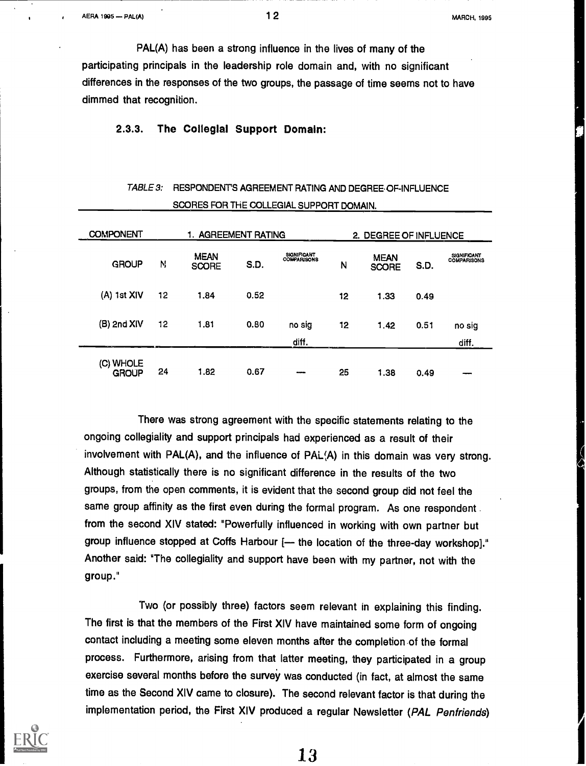$12$  MARCH, 1995

PAL(A) has been a strong influence in the lives of many of the participating principals in the leadership role domain and, with no significant differences in the responses of the two groups, the passage of time seems not to have dimmed that recognition.

# 2.3.3. The Collegial Support Domain:

|                           |    | SCORES FOR THE COLLEGIAL SUPPORT DOMAIN. |      |                            |                   |                             |      |                                          |
|---------------------------|----|------------------------------------------|------|----------------------------|-------------------|-----------------------------|------|------------------------------------------|
| <b>COMPONENT</b>          |    | 1. AGREEMENT RATING                      |      |                            |                   | 2. DEGREE OF INFLUENCE      |      |                                          |
| <b>GROUP</b>              | N  | <b>MEAN</b><br><b>SCORE</b>              | S.D. | SIGNIFICANT<br>COMPARISONS | N                 | <b>MEAN</b><br><b>SCORE</b> | S.D. | <b>SIGNIFICANT</b><br><b>COMPARISONS</b> |
| $(A)$ 1st XIV             | 12 | 1.84                                     | 0.52 |                            | $12 \overline{ }$ | 1.33                        | 0.49 |                                          |
| (B) 2nd XIV               | 12 | 1.81                                     | 0.80 | no sig<br>diff.            | 12                | 1.42                        | 0.51 | no sig<br>diff.                          |
| (C) WHOLE<br><b>GROUP</b> | 24 | 1.82                                     | 0.67 |                            | 25                | 1.38                        | 0.49 |                                          |

# TABLE 3: RESPONDENT'S AGREEMENT RATING AND DEGREE OF-INFLUENCE

There was strong agreement with the specific statements relating to the ongoing collegiality and support principals had experienced as a result of their involvement with PAL(A), and the influence of PAL(A) in this domain was very strong. Although statistically there is no significant difference in the results of the two groups, from the open comments, it is evident that the second group did not feel the same group affinity as the first even during the formal program. As one respondent. from the second XIV stated: "Powerfully influenced in working with own partner but group influence stopped at Coffs Harbour [- the location of the three-day workshop]." Another said: "The collegiality and support have been with my partner, not with the group."

Two (or possibly three) factors seem relevant in explaining this finding. The first is that the members of the First XIV have maintained some form of ongoing contact including a meeting some eleven months after the completion .of the formal process. Furthermore, arising from that latter meeting, they participated in a group exercise several months before the survey was conducted (in fact, at almost the same time as the Second XIV came to closure). The second relevant factor is that during the implementation period, the First XIV produced a regular Newsletter (PAL Penfriends)

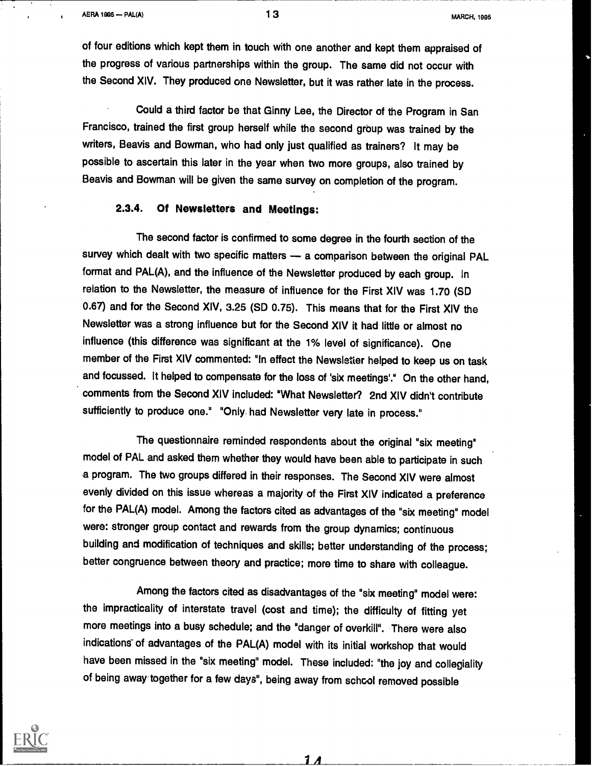of four editions which kept them in touch with one another and kept them appraised of the progress of various partnerships within the group. The same did not occur with the Second XIV. They produced one Newsletter, but it was rather late in the process.

Could a third factor be that Ginny Lee, the Director of the Program in San Francisco, trained the first group herself while the second group was trained by the writers, Beavis and Bowman, who had only just qualified as trainers? It may be possible to ascertain this later in the year when two more groups, also trained by Beavis and Bowman will be given the same survey on completion of the program.

# 2.3.4. Of Newsletters and Meetings:

The second factor is confirmed to some degree in the fourth section of the survey which dealt with two specific matters  $-$  a comparison between the original PAL format and PAL(A), and the influence of the Newsletter produced by each group. In relation to the Newsletter, the measure of influence for the First XIV was 1.70 (SD 0.67) and for the Second XIV, 3.26 (SD 0.75). This means that for the First XIV the Newsletter was a strong influence but for the Second XIV it had little or almost no influence (this difference was significant at the 1% level of significance). One member of the First XIV commented: "In effect the Newsletter helped to keep us on task and focussed. It helped to compensate for the loss of 'six meetings'." On the other hand, comments from the Second XIV included: "What Newsletter? 2nd XIV didn't contribute sufficiently to produce one." "Only. had Newsletter very late in process."

The questionnaire reminded respondents about the original "six meeting" model of PAL and asked them whether they would have been able to participate in such a program. The two groups differed in their responses. The Second XIV were almost evenly divided on this issue whereas a majority of the First XIV indicated a preference for the PAL(A) model. Among the factors cited as advantages of the "six meeting" model were: stronger group contact and rewards from the group dynamics; continuous building and modification of techniques and skills; better understanding of the process; better congruence between theory and practice; more time to share with colleague.

Among the factors cited as disadvantages of the "six meeting" model were: the impracticality of interstate travel (cost and time); the difficulty of fitting yet more meetings into a busy schedule; and the "danger of overkill". There were also indications' of advantages of the PAL(A) model with its initial workshop that would have been missed in the "six meeting" model. These included: "the joy and collegiality of being away together for a few days", being away from schcol removed possible



 $1\varLambda$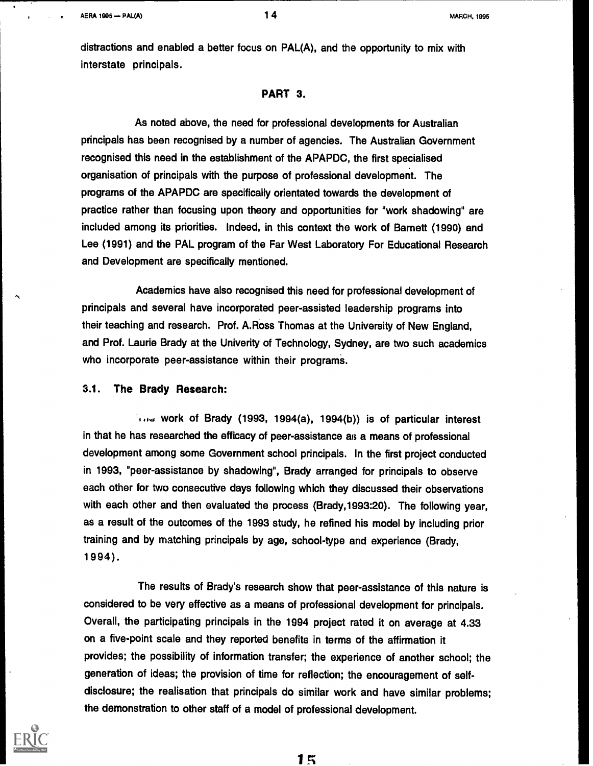distractions and enabled a better focus on PAL(A), and the opportunity to mix with interstate principals.

### PART 3.

As noted above, the need for professional developments for Australian principals has been recognised by a number of agencies. The Australian Government recognised this need in the establishment of the APAPDC, the first specialised organisation of principals with the purpose of professional development. The programs of the APAPDC are specifically orientated towards the development of practice rather than focusing upon theory and opportunities for "work shadowing" are included among its priorities. Indeed, in this context the work of Barnett (1990) and Lee (1991) and the PAL program of the Far West Laboratory For Educational Research and Development are specifically mentioned.

Academics have also recognised this need for professional development of principals and several have incorporated peer-assisted leadership programs into their teaching and research. Prof. A.Ross Thomas at the University of New England, and Prof. Laurie Brady at the Univerity of Technology, Sydney, are two such academics who incorporate peer-assistance within their programs.

### 3.1. The Brady Research:

work of Brady (1993, 1994(a), 1994(b)) is of particular interest in that he has researched the efficacy of peer-assistance as a means of professional development among some Government school principals. In the first project conducted in 1993, "peer-assistance by shadowing", Brady arranged for principals to observe each other for two consecutive days following which they discussed their observations with each other and then evaluated the process (Brady,1993:20). The following year, as a result of the outcomes of the 1993 study, he refined his model by including prior training and by matching principals by age, school-type and experience (Brady,  $1994$ .

The results of Brady's research show that peer-assistance of this nature is considered to be very effective as a means of professional development for principals. Overall, the participating principals in the 1994 project rated it on average at 4.33 on a five-point scale and they reported benefits in terms of the affirmation it provides; the possibility of information transfer; the experience of another school; the generation of ideas; the provision of time for reflection; the encouragement of selfdisclosure; the realisation that principals do similar work and have similar problems; the demonstration to other staff of a model of professional development.

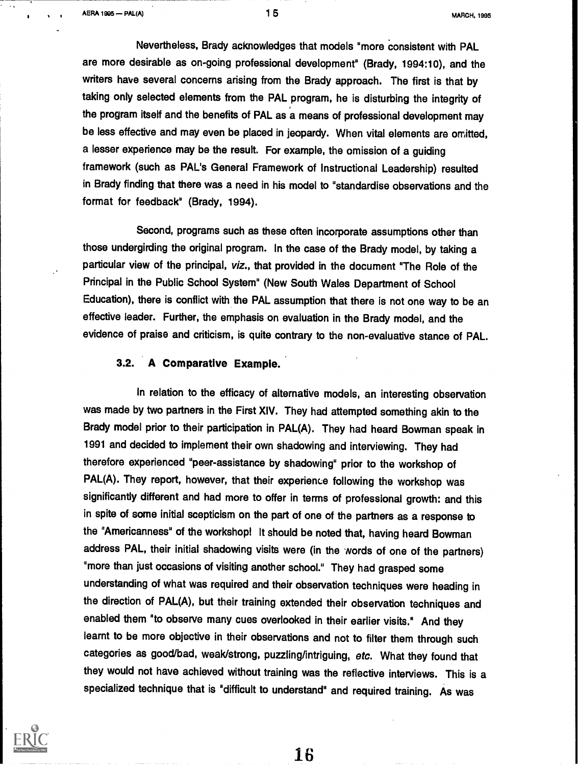$A$ ERA 1995 --- PAL(A)  $15$   $15$ 

Nevertheless, Brady acknowledges that models "more consistent with PAL are more desirable as on-going professional development" (Brady, 1994:10), and the writers have several concerns arising from the Brady approach. The first is that by taking only selected elements from the PAL program, he is disturbing the integrity of the program itself and the benefits of PAL as a means of professional development may be less effective and may even be placed in jeopardy. When vital elements are omitted, a lesser experience may be the result. For example, the omission of a guiding framework (such as PAL's General Framework of Instructional Leadership) resulted in Brady finding that there was a need in his model to "standardise observations and the format for feedback" (Brady, 1994).

Second, programs such as these often incorporate assumptions other than those undergirding the original program. In the case of the Brady model, by taking a particular view of the principal, viz., that provided in the document "The Role of the Principal in the Public School System" (New South Wales Department of School Education), there is conflict with the PAL assumption that there is not one way to be an effective leader. Further, the emphasis on evaluation in the Brady model, and the evidence of praise and criticism, is quite contrary to the non-evaluative stance of PAL.

## 3.2. A Comparative Example.

In relation to the efficacy of alternative models, an interesting observation was made by two partners in the First XIV. They had attempted something akin to the Brady model prior to their participation in PAL(A). They had heard Bowman speak in 1991 and decided to implement their own shadowing and interviewing. They had therefore experienced "peer-assistance by shadowing" prior to the workshop of PAL(A). They report, however, that their experience following the workshop was significantly different and had more to offer in terms of professional growth: and this in spite of some initial scepticism on the part of one of the partners as a response to the "Americanness" of the workshop! It should be noted that, having heard Bowman address PAL, their initial shadowing visits were (in the words of one of the partners) "more than just occasions of visiting another school." They had grasped some understanding of what was required and their observation techniques were heading in the direction of PAL(A), but their training extended their observation techniques and enabled them "to observe many cues overlooked in their earlier visits." And they learnt to be more objective in their observations and not to filter them through such categories as good/bad, weak/strong, puzzling/intriguing, etc. What they found that they would not have achieved without training was the reflective interviews. This is a specialized technique that is "difficult to understand" and required training. As was

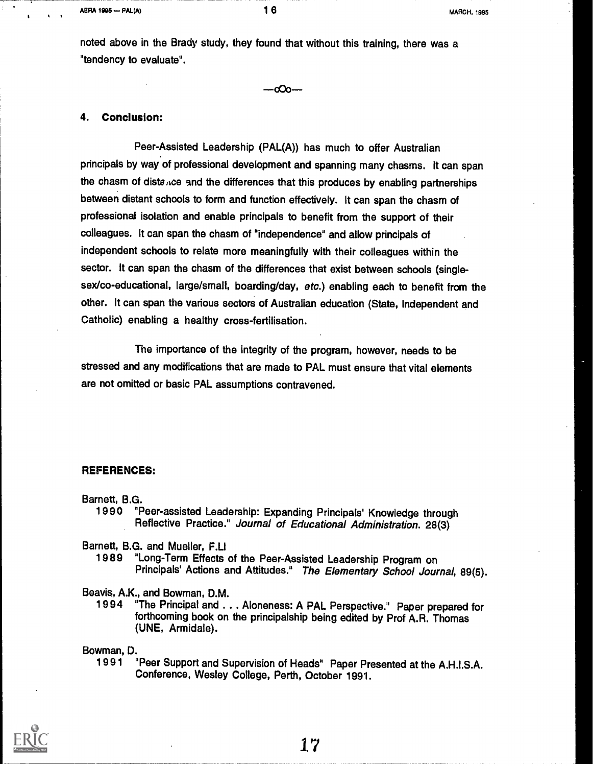noted above in the Brady study, they found that without this training, there was a "tendency to evaluate".

 $-c$ **Co** $-$ 

#### 4. Conclusion:

Peer-Assisted Leadership (PAL(A)) has much to offer Australian principals by way of professional development and spanning many chasms. It can span the chasm of distance and the differences that this produces by enabling partnerships between distant schools to form and function effectively. It can span the chasm of professional isolation and enable principals to benefit from the support of their colleagues. It can span the chasm of "independence" and allow principals of independent schools to relate more meaningfully with their colleagues within the sector. It can span the chasm of the differences that exist between schools (singlesex/co-educational, large/small, boarding/day, etc.) enabling each to benefit from the other. It can span the various sectors of Australian education (State, Independent and Catholic) enabling a healthy cross-fertilisation.

The importance of the integrity of the program, however, needs to be stressed and any modifications that are made to PAL must ensure that vital elements are not omitted or basic PAL assumptions contravened.

### REFERENCES:

Barnett, B.G.

1990 "Peer-assisted Leadership: Expanding Principals' Knowledge through Reflective Practice." Journal of Educational Administration. 28(3)

Barnett, B.G. and Mueller, F.LI

1989 "Long-Term Effects of the Peer-Assisted Leadership Program on Principals' Actions and Attitudes." The Elementary School Journal, 89(5).

Beavis, A.K., and Bowman, D.M.

"The Principal and . . . Aloneness: A PAL Perspective." Paper prepared for forthcoming book on the principalship being edited by Prof A.R. Thomas (UNE, Armidale).

Bowman, D.<br>" 1991

"Peer Support and Supervision of Heads" Paper Presented at the A.H.I.S.A. Conference, Wesley College, Perth, October 1991.

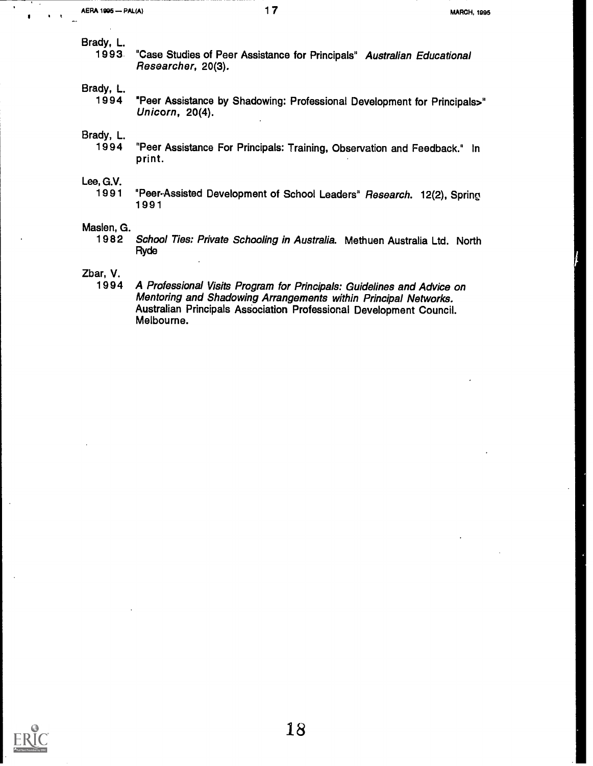Brady, L.

"Case Studies of Peer Assistance for Principals" Australian Educational Researcher, 20(3).

Brady, L.<br>1994

"Peer Assistance by Shadowing: Professional Development for Principals>" Unicorn, 20(4).

Brady, L.

"Peer Assistance For Principals: Training, Observation and Feedback." In print.

Lee, G.V.<br>1991

"Peer-Assisted Development of School Leaders" Research. 12(2), Spring 1991

# Maslen, G.<br>1982

School Ties: Private Schooling in Australia. Methuen Australia Ltd. North Ryde

Zbar, V.

A Professional Visits Program for Principals: Guidelines and Advice on Mentoring and Shadowing Arrangements within Principal Networks. Australian Principals Association Professional Development Council. Melbourne.

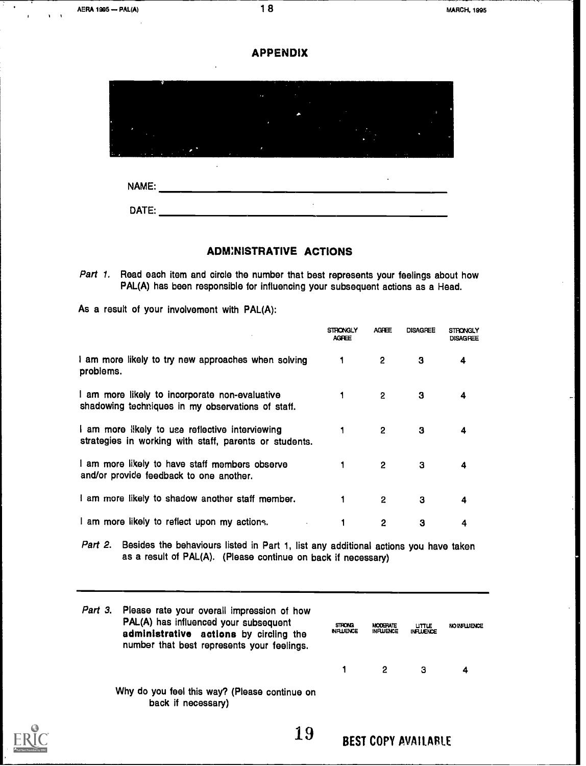



### **ADMINISTRATIVE ACTIONS**

Part 1. Read each item and circle the number that best represents your feelings about how PAL(A) has been responsible for influencing your subsequent actions as a Head.

As a result of your involvement with PAL(A):

DATE:

|                                                                                                           | STRONGLY<br>AGFEE | <b>AGFFF</b> | <b>DISAGREE</b> | <b>STRONGLY</b><br>DISAGREE |  |
|-----------------------------------------------------------------------------------------------------------|-------------------|--------------|-----------------|-----------------------------|--|
| I am more likely to try new approaches when solving<br>problems.                                          |                   | 2            | З               | 4                           |  |
| I am more likely to incorporate non-evaluative<br>shadowing techniques in my observations of staff.       |                   | 2            | З               | 4                           |  |
| I am more likely to use reflective interviewing<br>strategies in working with staff, parents or students. | 1                 | 2            | з               | 4                           |  |
| I am more likely to have staff members observe<br>and/or provide feedback to one another.                 |                   | 2            | з               | 4                           |  |
| I am more likely to shadow another staff member.                                                          |                   | 2            | з               | 4                           |  |
| I am more likely to reflect upon my actions.                                                              |                   | 2            | 3               | 4                           |  |

Part 2. Besides the behaviours listed in Part 1, list any additional actions you have taken as a result of PAL(A). (Please continue on back if necessary)

| Part 3. Please rate your overall impression of how<br>PAL(A) has influenced your subsequent<br>administrative actions by circling the<br>number that best represents your feelings. | <b>STRONG</b><br><b>NFLUENCE</b> | MODERATE<br><b>INFLUENCE</b> | <b>UTTLE</b><br><b>INFLUENCE</b> | <b>NO INFLUENCE</b> |  |
|-------------------------------------------------------------------------------------------------------------------------------------------------------------------------------------|----------------------------------|------------------------------|----------------------------------|---------------------|--|
|                                                                                                                                                                                     |                                  |                              | з                                | 4                   |  |
| Why do you feel this way? (Please continue on<br>back if necessary)                                                                                                                 |                                  |                              |                                  |                     |  |

19 BEST COPY AVAILABLE

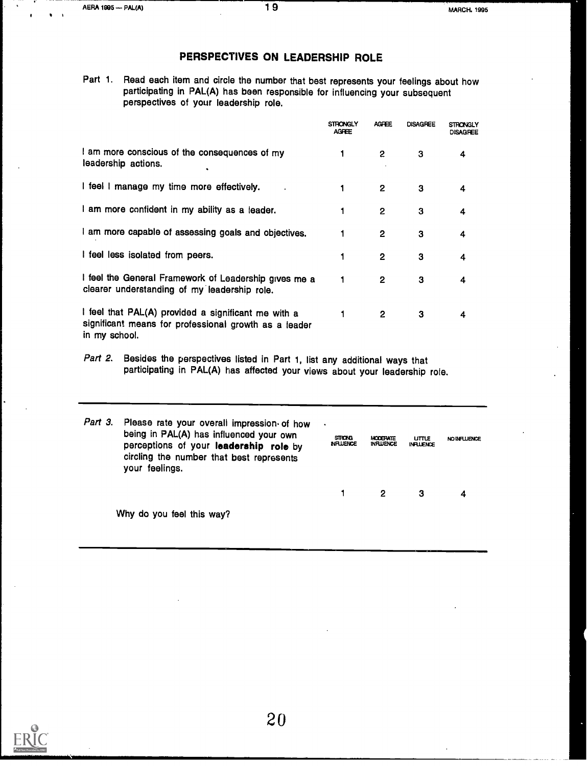# PERSPECTIVES ON LEADERSHIP ROLE

Part 1. Read each item and circle the number that best represents your feelings about how participating in PAL(A) has been responsible for influencing your subsequent perspectives of your leadership role.

|                                                                                                                               | STRONGLY<br><b>AGFEE</b> | <b>AGPEE</b>   | <b>DISAGREE</b> | STRONGI Y<br><b>DISAGREE</b> |  |
|-------------------------------------------------------------------------------------------------------------------------------|--------------------------|----------------|-----------------|------------------------------|--|
| I am more conscious of the consequences of my<br>leadership actions.                                                          | 1                        | $\overline{2}$ | з               | 4                            |  |
| I feel I manage my time more effectively.                                                                                     |                          | 2              | 3               | 4                            |  |
| I am more confident in my ability as a leader.                                                                                |                          | 2              | 3               | 4                            |  |
| I am more capable of assessing goals and objectives.                                                                          |                          | 2              | 3               | 4                            |  |
| I feel less isolated from peers.                                                                                              |                          | 2              | з               | 4                            |  |
| I feel the General Framework of Leadership gives me a<br>clearer understanding of my leadership role.                         |                          | 2              | 3               | 4                            |  |
| I feel that PAL(A) provided a significant me with a<br>significant means for professional growth as a leader<br>in my school. | 1                        | 2              | з               | 4                            |  |

Part 2. Besides the perspectives listed in Part 1, list any additional ways that participating in PAL(A) has affected your views about your leadership role.

| Part 3. Please rate your overall impression of how<br>being in PAL(A) has influenced your own<br>perceptions of your leadership role by<br>circling the number that best represents<br>your feelings. | $\blacksquare$<br><b>STRONG</b><br><b>NHUENCE</b> | <b>MODEFATE</b><br><b>INFLUENCE</b> | <b>UTTLE</b><br><b>INFLUENCE</b> | <b>NO INFLUENCE</b> |  |
|-------------------------------------------------------------------------------------------------------------------------------------------------------------------------------------------------------|---------------------------------------------------|-------------------------------------|----------------------------------|---------------------|--|
|                                                                                                                                                                                                       |                                                   | 2                                   | З                                | 4                   |  |
| Why do you feel this way?                                                                                                                                                                             |                                                   |                                     |                                  |                     |  |

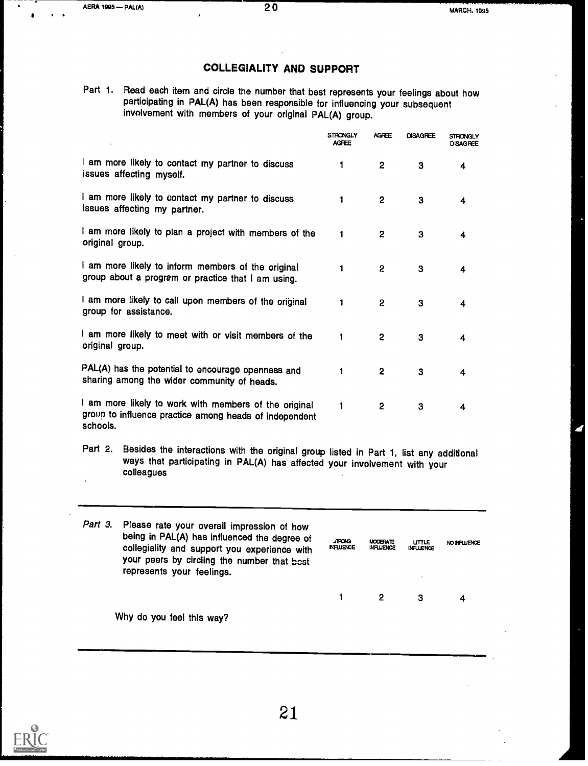# COLLEGIALITY AND SUPPORT

Part 1. Read each item and circle the number that best represents your feelings about how participating in PAL(A) has been responsible for influencing your subsequent involvement with members of your original PAL(A) group.

|                                                                                                                             | <b>STRONGLY</b><br><b>AGFEE</b> | <b>AGFEE</b>   | <b>DISAGREE</b> | <b>STRONGLY</b><br><b>DISAGREE</b> |  |
|-----------------------------------------------------------------------------------------------------------------------------|---------------------------------|----------------|-----------------|------------------------------------|--|
| I am more likely to contact my partner to discuss<br>issues affecting myself.                                               | 1                               | $\overline{2}$ | з               | 4                                  |  |
| I am more likely to contact my partner to discuss<br>issues affecting my partner.                                           | 1                               | $\mathbf{2}$   | 3               | 4                                  |  |
| I am more likely to plan a project with members of the<br>original group.                                                   | 1                               | 2              | 3               | 4                                  |  |
| I am more likely to inform members of the original<br>group about a program or practice that I am using.                    | 1                               | 2              | 3               | 4                                  |  |
| I am more likely to call upon members of the original<br>group for assistance.                                              | 1                               | 2              | 3               | 4                                  |  |
| I am more likely to meet with or visit members of the<br>original group.                                                    | 1                               | 2              | 3               | 4                                  |  |
| PAL(A) has the potential to encourage openness and<br>sharing among the wider community of heads.                           | 1                               | 2              | 3               | 4                                  |  |
| I am more likely to work with members of the original<br>group to influence practice among heads of independent<br>schools. | 1                               | 2              | 3               | 4                                  |  |

Part 2. Besides the interactions with the original group listed in Part 1, list any additional ways that participating in PAL(A) has affected your involvement with your colleagues

| Part 3. Please rate your overall impression of how<br>being in PAL(A) has influenced the degree of<br>collegiality and support you experience with<br>your peers by circling the number that best<br>represents your feelings. | <b>JIRONG</b><br><b>INFLUENCE</b> | <b>MODERATE</b><br><b>INFLUENCE</b> | $L$ TLE<br><b>INFLUENCE</b> | <b>NOINFLUENCE</b> |  |
|--------------------------------------------------------------------------------------------------------------------------------------------------------------------------------------------------------------------------------|-----------------------------------|-------------------------------------|-----------------------------|--------------------|--|
|                                                                                                                                                                                                                                |                                   | 2                                   | з                           | 4                  |  |
| Why do you feel this way?                                                                                                                                                                                                      |                                   |                                     |                             |                    |  |